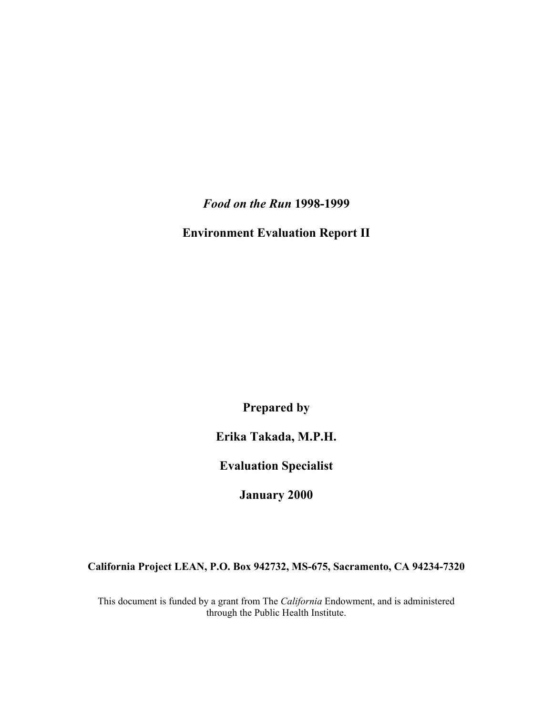*Food on the Run* **1998-1999** 

**Environment Evaluation Report II** 

**Prepared by** 

**Erika Takada, M.P.H.** 

**Evaluation Specialist** 

**January 2000** 

**California Project LEAN, P.O. Box 942732, MS-675, Sacramento, CA 94234-7320** 

This document is funded by a grant from The *California* Endowment, and is administered through the Public Health Institute.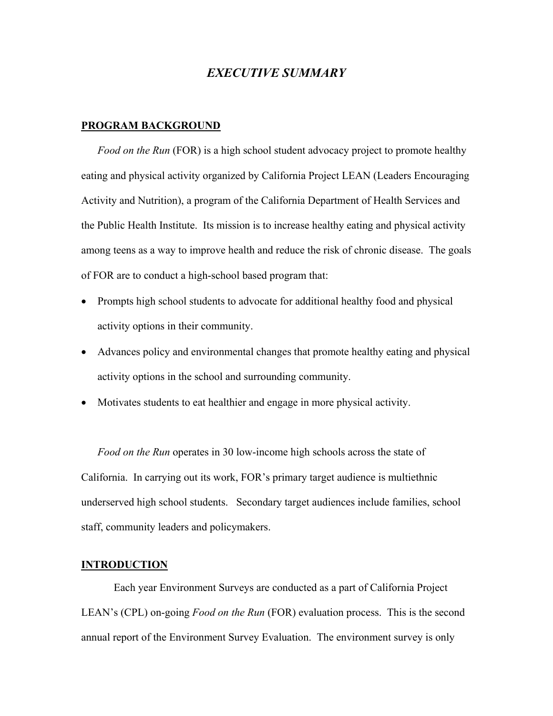# *EXECUTIVE SUMMARY*

## **PROGRAM BACKGROUND**

*Food on the Run* (FOR) is a high school student advocacy project to promote healthy eating and physical activity organized by California Project LEAN (Leaders Encouraging Activity and Nutrition), a program of the California Department of Health Services and the Public Health Institute. Its mission is to increase healthy eating and physical activity among teens as a way to improve health and reduce the risk of chronic disease. The goals of FOR are to conduct a high-school based program that:

- Prompts high school students to advocate for additional healthy food and physical activity options in their community.
- Advances policy and environmental changes that promote healthy eating and physical activity options in the school and surrounding community.
- Motivates students to eat healthier and engage in more physical activity.

*Food on the Run* operates in 30 low-income high schools across the state of California. In carrying out its work, FOR's primary target audience is multiethnic underserved high school students. Secondary target audiences include families, school staff, community leaders and policymakers.

## **INTRODUCTION**

Each year Environment Surveys are conducted as a part of California Project LEAN's (CPL) on-going *Food on the Run* (FOR) evaluation process. This is the second annual report of the Environment Survey Evaluation. The environment survey is only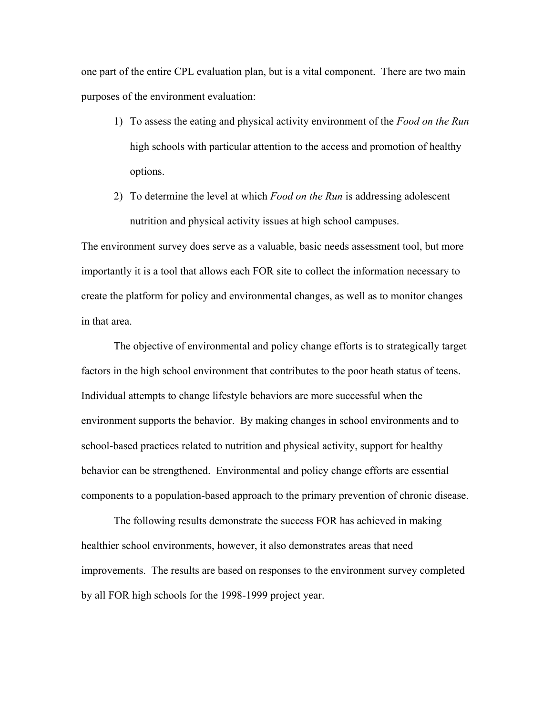one part of the entire CPL evaluation plan, but is a vital component. There are two main purposes of the environment evaluation:

- 1) To assess the eating and physical activity environment of the *Food on the Run* high schools with particular attention to the access and promotion of healthy options.
- 2) To determine the level at which *Food on the Run* is addressing adolescent nutrition and physical activity issues at high school campuses.

The environment survey does serve as a valuable, basic needs assessment tool, but more importantly it is a tool that allows each FOR site to collect the information necessary to create the platform for policy and environmental changes, as well as to monitor changes in that area.

The objective of environmental and policy change efforts is to strategically target factors in the high school environment that contributes to the poor heath status of teens. Individual attempts to change lifestyle behaviors are more successful when the environment supports the behavior. By making changes in school environments and to school-based practices related to nutrition and physical activity, support for healthy behavior can be strengthened. Environmental and policy change efforts are essential components to a population-based approach to the primary prevention of chronic disease.

The following results demonstrate the success FOR has achieved in making healthier school environments, however, it also demonstrates areas that need improvements. The results are based on responses to the environment survey completed by all FOR high schools for the 1998-1999 project year.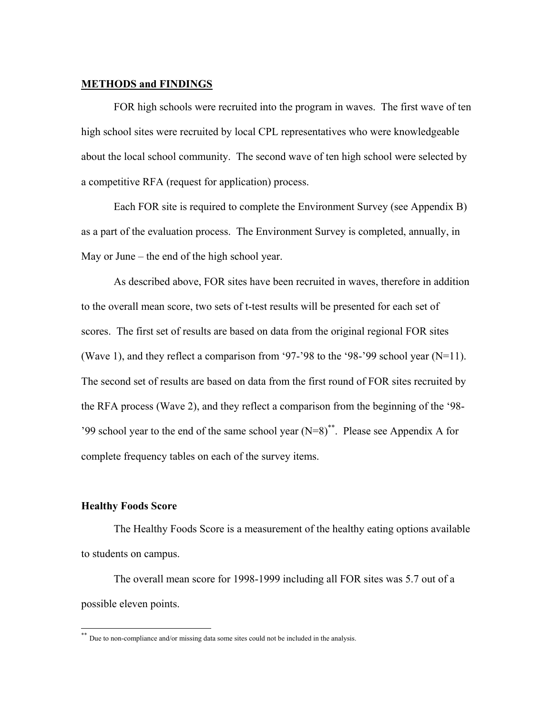# **METHODS and FINDINGS**

 FOR high schools were recruited into the program in waves. The first wave of ten high school sites were recruited by local CPL representatives who were knowledgeable about the local school community. The second wave of ten high school were selected by a competitive RFA (request for application) process.

 Each FOR site is required to complete the Environment Survey (see Appendix B) as a part of the evaluation process. The Environment Survey is completed, annually, in May or June – the end of the high school year.

As described above, FOR sites have been recruited in waves, therefore in addition to the overall mean score, two sets of t-test results will be presented for each set of scores. The first set of results are based on data from the original regional FOR sites (Wave 1), and they reflect a comparison from '97-'98 to the '98-'99 school year (N=11). The second set of results are based on data from the first round of FOR sites recruited by the RFA process (Wave 2), and they reflect a comparison from the beginning of the '98- '99 school year to the end of the same school year  $(N=8)$ <sup>\*\*</sup>. Please see Appendix A for complete frequency tables on each of the survey items.

## **Healthy Foods Score**

 $\overline{\phantom{a}}$ 

 The Healthy Foods Score is a measurement of the healthy eating options available to students on campus.

The overall mean score for 1998-1999 including all FOR sites was 5.7 out of a possible eleven points.

<sup>\*\*</sup> Due to non-compliance and/or missing data some sites could not be included in the analysis.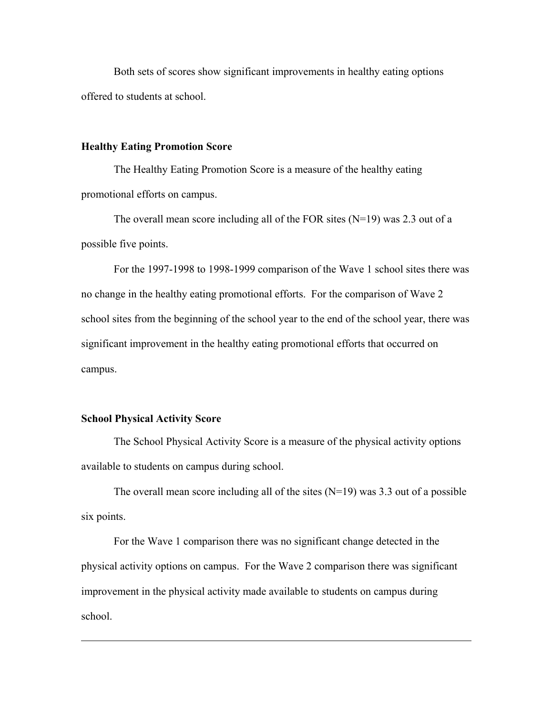Both sets of scores show significant improvements in healthy eating options offered to students at school.

### **Healthy Eating Promotion Score**

The Healthy Eating Promotion Score is a measure of the healthy eating promotional efforts on campus.

The overall mean score including all of the FOR sites  $(N=19)$  was 2.3 out of a possible five points.

 For the 1997-1998 to 1998-1999 comparison of the Wave 1 school sites there was no change in the healthy eating promotional efforts. For the comparison of Wave 2 school sites from the beginning of the school year to the end of the school year, there was significant improvement in the healthy eating promotional efforts that occurred on campus.

## **School Physical Activity Score**

 $\overline{\phantom{a}}$ 

The School Physical Activity Score is a measure of the physical activity options available to students on campus during school.

The overall mean score including all of the sites  $(N=19)$  was 3.3 out of a possible six points.

 For the Wave 1 comparison there was no significant change detected in the physical activity options on campus. For the Wave 2 comparison there was significant improvement in the physical activity made available to students on campus during school.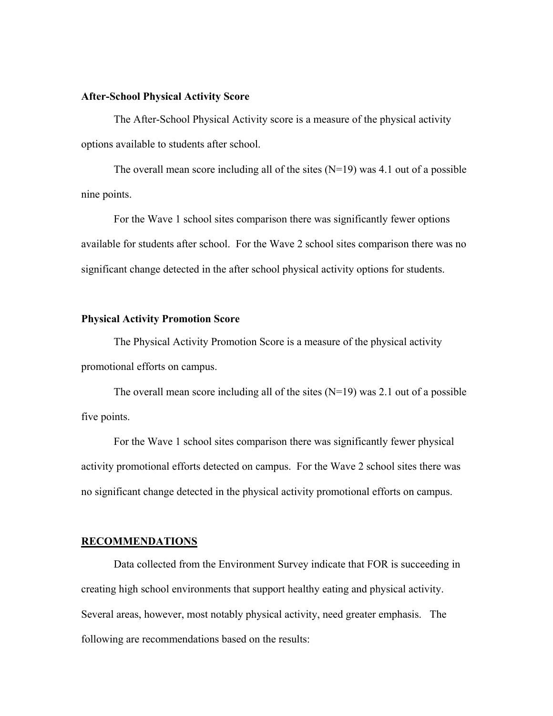## **After-School Physical Activity Score**

The After-School Physical Activity score is a measure of the physical activity options available to students after school.

The overall mean score including all of the sites  $(N=19)$  was 4.1 out of a possible nine points.

For the Wave 1 school sites comparison there was significantly fewer options available for students after school. For the Wave 2 school sites comparison there was no significant change detected in the after school physical activity options for students.

## **Physical Activity Promotion Score**

 The Physical Activity Promotion Score is a measure of the physical activity promotional efforts on campus.

The overall mean score including all of the sites  $(N=19)$  was 2.1 out of a possible five points.

 For the Wave 1 school sites comparison there was significantly fewer physical activity promotional efforts detected on campus. For the Wave 2 school sites there was no significant change detected in the physical activity promotional efforts on campus.

#### **RECOMMENDATIONS**

Data collected from the Environment Survey indicate that FOR is succeeding in creating high school environments that support healthy eating and physical activity. Several areas, however, most notably physical activity, need greater emphasis. The following are recommendations based on the results: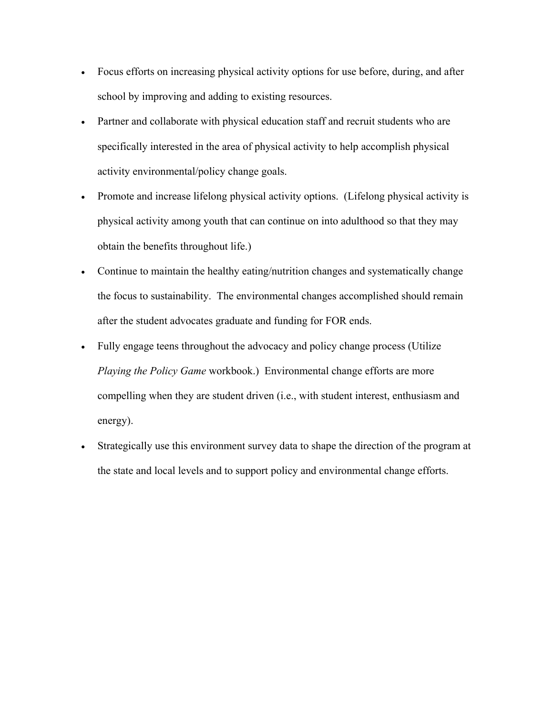- Focus efforts on increasing physical activity options for use before, during, and after school by improving and adding to existing resources.
- Partner and collaborate with physical education staff and recruit students who are specifically interested in the area of physical activity to help accomplish physical activity environmental/policy change goals.
- Promote and increase lifelong physical activity options. (Lifelong physical activity is physical activity among youth that can continue on into adulthood so that they may obtain the benefits throughout life.)
- Continue to maintain the healthy eating/nutrition changes and systematically change the focus to sustainability. The environmental changes accomplished should remain after the student advocates graduate and funding for FOR ends.
- Fully engage teens throughout the advocacy and policy change process (Utilize *Playing the Policy Game* workbook.) Environmental change efforts are more compelling when they are student driven (i.e., with student interest, enthusiasm and energy).
- Strategically use this environment survey data to shape the direction of the program at the state and local levels and to support policy and environmental change efforts.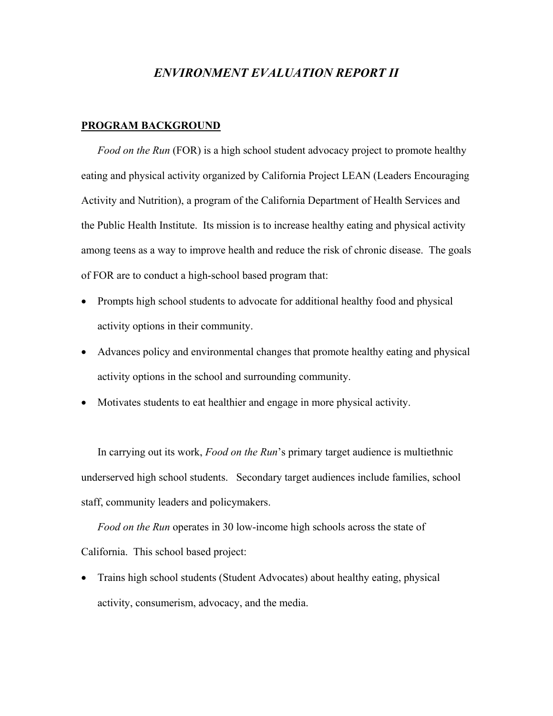# *ENVIRONMENT EVALUATION REPORT II*

# **PROGRAM BACKGROUND**

*Food on the Run* (FOR) is a high school student advocacy project to promote healthy eating and physical activity organized by California Project LEAN (Leaders Encouraging Activity and Nutrition), a program of the California Department of Health Services and the Public Health Institute. Its mission is to increase healthy eating and physical activity among teens as a way to improve health and reduce the risk of chronic disease. The goals of FOR are to conduct a high-school based program that:

- Prompts high school students to advocate for additional healthy food and physical activity options in their community.
- Advances policy and environmental changes that promote healthy eating and physical activity options in the school and surrounding community.
- Motivates students to eat healthier and engage in more physical activity.

In carrying out its work, *Food on the Run*'s primary target audience is multiethnic underserved high school students. Secondary target audiences include families, school staff, community leaders and policymakers.

*Food on the Run* operates in 30 low-income high schools across the state of California. This school based project:

• Trains high school students (Student Advocates) about healthy eating, physical activity, consumerism, advocacy, and the media.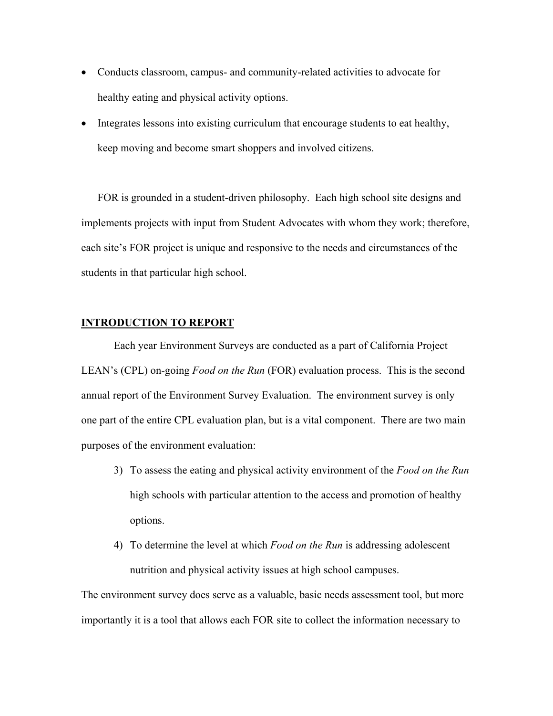- Conducts classroom, campus- and community-related activities to advocate for healthy eating and physical activity options.
- Integrates lessons into existing curriculum that encourage students to eat healthy, keep moving and become smart shoppers and involved citizens.

FOR is grounded in a student-driven philosophy. Each high school site designs and implements projects with input from Student Advocates with whom they work; therefore, each site's FOR project is unique and responsive to the needs and circumstances of the students in that particular high school.

# **INTRODUCTION TO REPORT**

Each year Environment Surveys are conducted as a part of California Project LEAN's (CPL) on-going *Food on the Run* (FOR) evaluation process. This is the second annual report of the Environment Survey Evaluation. The environment survey is only one part of the entire CPL evaluation plan, but is a vital component. There are two main purposes of the environment evaluation:

- 3) To assess the eating and physical activity environment of the *Food on the Run* high schools with particular attention to the access and promotion of healthy options.
- 4) To determine the level at which *Food on the Run* is addressing adolescent nutrition and physical activity issues at high school campuses.

The environment survey does serve as a valuable, basic needs assessment tool, but more importantly it is a tool that allows each FOR site to collect the information necessary to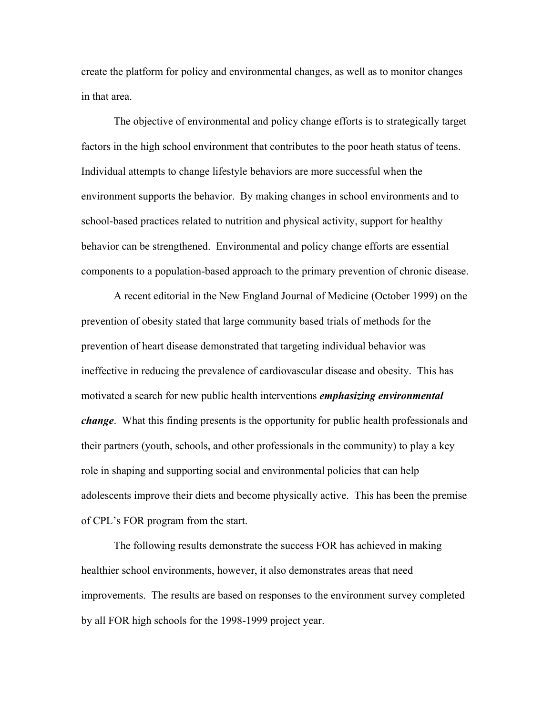create the platform for policy and environmental changes, as well as to monitor changes in that area.

The objective of environmental and policy change efforts is to strategically target factors in the high school environment that contributes to the poor heath status of teens. Individual attempts to change lifestyle behaviors are more successful when the environment supports the behavior. By making changes in school environments and to school-based practices related to nutrition and physical activity, support for healthy behavior can be strengthened. Environmental and policy change efforts are essential components to a population-based approach to the primary prevention of chronic disease.

 A recent editorial in the New England Journal of Medicine (October 1999) on the prevention of obesity stated that large community based trials of methods for the prevention of heart disease demonstrated that targeting individual behavior was ineffective in reducing the prevalence of cardiovascular disease and obesity. This has motivated a search for new public health interventions *emphasizing environmental change*. What this finding presents is the opportunity for public health professionals and their partners (youth, schools, and other professionals in the community) to play a key role in shaping and supporting social and environmental policies that can help adolescents improve their diets and become physically active. This has been the premise of CPL's FOR program from the start.

The following results demonstrate the success FOR has achieved in making healthier school environments, however, it also demonstrates areas that need improvements. The results are based on responses to the environment survey completed by all FOR high schools for the 1998-1999 project year.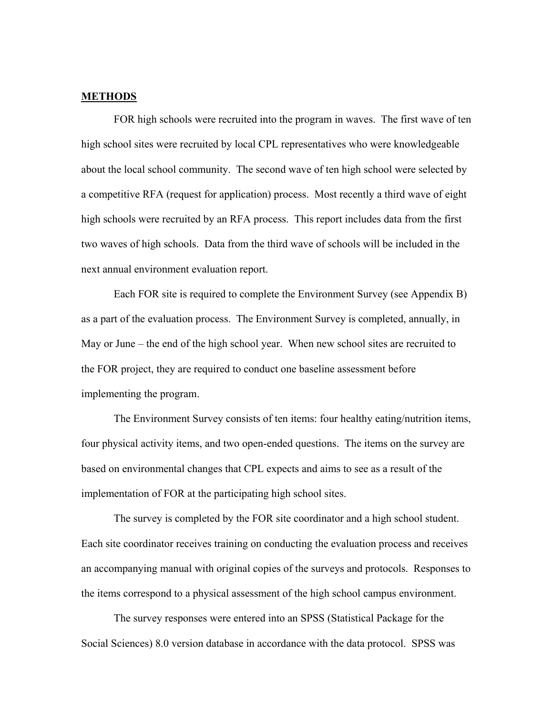# **METHODS**

 FOR high schools were recruited into the program in waves. The first wave of ten high school sites were recruited by local CPL representatives who were knowledgeable about the local school community. The second wave of ten high school were selected by a competitive RFA (request for application) process. Most recently a third wave of eight high schools were recruited by an RFA process. This report includes data from the first two waves of high schools. Data from the third wave of schools will be included in the next annual environment evaluation report.

 Each FOR site is required to complete the Environment Survey (see Appendix B) as a part of the evaluation process. The Environment Survey is completed, annually, in May or June – the end of the high school year. When new school sites are recruited to the FOR project, they are required to conduct one baseline assessment before implementing the program.

 The Environment Survey consists of ten items: four healthy eating/nutrition items, four physical activity items, and two open-ended questions. The items on the survey are based on environmental changes that CPL expects and aims to see as a result of the implementation of FOR at the participating high school sites.

 The survey is completed by the FOR site coordinator and a high school student. Each site coordinator receives training on conducting the evaluation process and receives an accompanying manual with original copies of the surveys and protocols. Responses to the items correspond to a physical assessment of the high school campus environment.

 The survey responses were entered into an SPSS (Statistical Package for the Social Sciences) 8.0 version database in accordance with the data protocol. SPSS was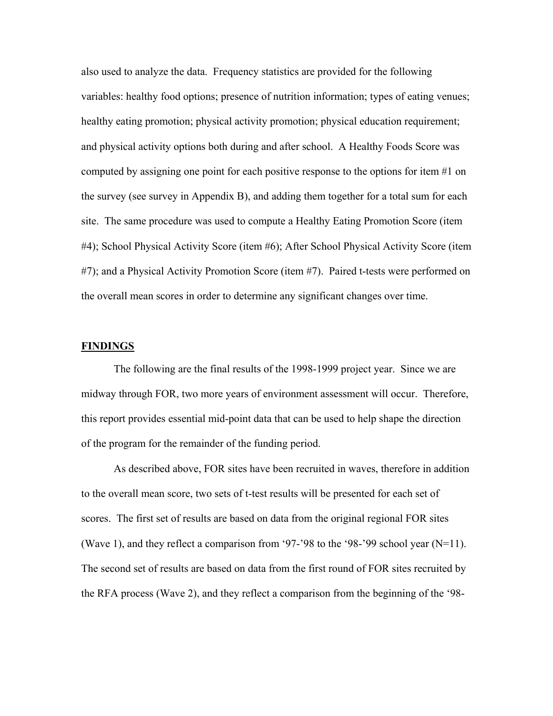also used to analyze the data. Frequency statistics are provided for the following variables: healthy food options; presence of nutrition information; types of eating venues; healthy eating promotion; physical activity promotion; physical education requirement; and physical activity options both during and after school. A Healthy Foods Score was computed by assigning one point for each positive response to the options for item #1 on the survey (see survey in Appendix B), and adding them together for a total sum for each site. The same procedure was used to compute a Healthy Eating Promotion Score (item #4); School Physical Activity Score (item #6); After School Physical Activity Score (item #7); and a Physical Activity Promotion Score (item #7). Paired t-tests were performed on the overall mean scores in order to determine any significant changes over time.

## **FINDINGS**

 The following are the final results of the 1998-1999 project year. Since we are midway through FOR, two more years of environment assessment will occur. Therefore, this report provides essential mid-point data that can be used to help shape the direction of the program for the remainder of the funding period.

 As described above, FOR sites have been recruited in waves, therefore in addition to the overall mean score, two sets of t-test results will be presented for each set of scores. The first set of results are based on data from the original regional FOR sites (Wave 1), and they reflect a comparison from '97-'98 to the '98-'99 school year  $(N=11)$ . The second set of results are based on data from the first round of FOR sites recruited by the RFA process (Wave 2), and they reflect a comparison from the beginning of the '98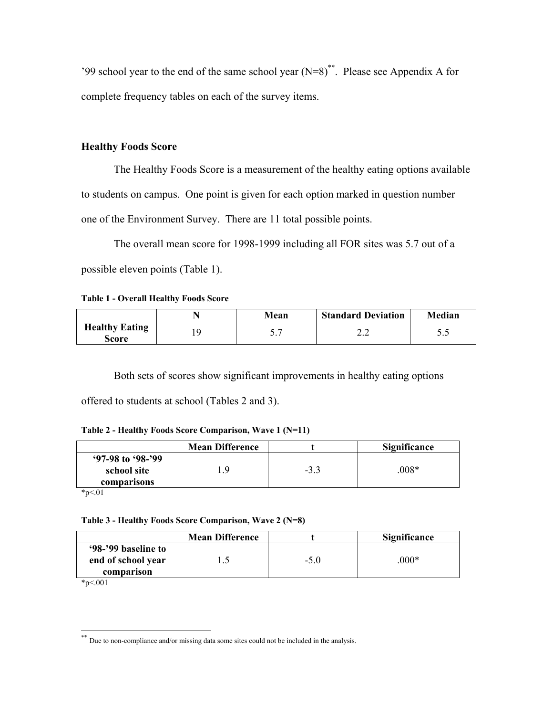'99 school year to the end of the same school year  $(N=8)$ <sup>\*\*</sup>. Please see Appendix A for complete frequency tables on each of the survey items.

# **Healthy Foods Score**

 The Healthy Foods Score is a measurement of the healthy eating options available to students on campus. One point is given for each option marked in question number one of the Environment Survey. There are 11 total possible points.

The overall mean score for 1998-1999 including all FOR sites was 5.7 out of a possible eleven points (Table 1).

**Table 1 - Overall Healthy Foods Score** 

|                                       | Mean  | <b>Standard Deviation</b> | Median |
|---------------------------------------|-------|---------------------------|--------|
| <b>Healthy Eating</b><br><b>Score</b> | ، ، ب | ,,,                       | ັ.     |

Both sets of scores show significant improvements in healthy eating options offered to students at school (Tables 2 and 3).

| $97-98$ to $98-799$<br>$008*$<br>school site<br>-3.3<br>Q |             | <b>Mean Difference</b> | <b>Significance</b> |
|-----------------------------------------------------------|-------------|------------------------|---------------------|
|                                                           |             |                        |                     |
|                                                           |             |                        |                     |
|                                                           | comparisons |                        |                     |

 $*_{p<.01}$ 

## **Table 3 - Healthy Foods Score Comparison, Wave 2 (N=8)**

| '98-'99 baseline to              |        |        |
|----------------------------------|--------|--------|
| end of school year<br>comparison | $-5.0$ | $000*$ |

\*p<.001

 $\overline{\phantom{a}}$ 

<sup>\*\*</sup> Due to non-compliance and/or missing data some sites could not be included in the analysis.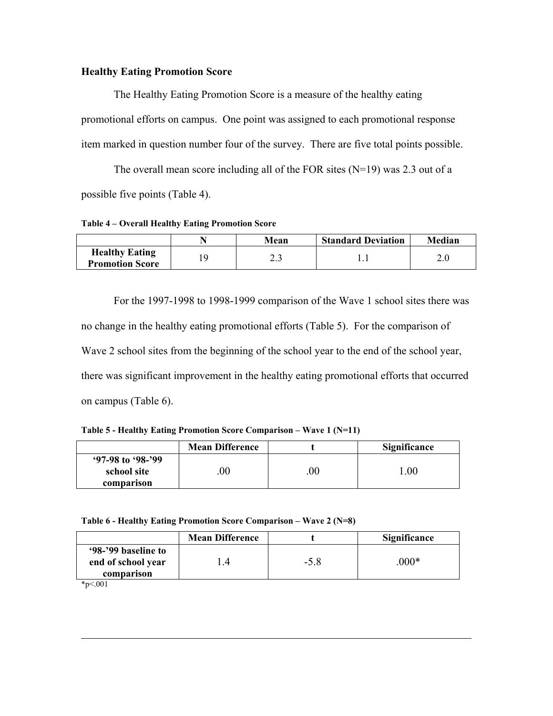# **Healthy Eating Promotion Score**

The Healthy Eating Promotion Score is a measure of the healthy eating promotional efforts on campus. One point was assigned to each promotional response item marked in question number four of the survey. There are five total points possible.

The overall mean score including all of the FOR sites (N=19) was 2.3 out of a possible five points (Table 4).

**Table 4 – Overall Healthy Eating Promotion Score** 

|                                                 | Mean  | <b>Standard Deviation</b> | <b>Median</b> |
|-------------------------------------------------|-------|---------------------------|---------------|
| <b>Healthy Eating</b><br><b>Promotion Score</b> | ر . ب |                           |               |

 For the 1997-1998 to 1998-1999 comparison of the Wave 1 school sites there was no change in the healthy eating promotional efforts (Table 5). For the comparison of Wave 2 school sites from the beginning of the school year to the end of the school year, there was significant improvement in the healthy eating promotional efforts that occurred on campus (Table 6).

**Table 5 - Healthy Eating Promotion Score Comparison – Wave 1 (N=11)**

|                                    | <b>Mean Difference</b> |        | <b>Significance</b> |
|------------------------------------|------------------------|--------|---------------------|
| $97-98$ to $98-299$<br>school site | $00\,$                 | $00\,$ | .00                 |
| comparison                         |                        |        |                     |

**Table 6 - Healthy Eating Promotion Score Comparison – Wave 2 (N=8)** 

|                                                         | <b>Mean Difference</b> |        | <b>Significance</b> |
|---------------------------------------------------------|------------------------|--------|---------------------|
| '98-'99 baseline to<br>end of school year<br>comparison |                        | $-5.8$ | $000*$              |

 $*p<.001$ 

 $\overline{\phantom{a}}$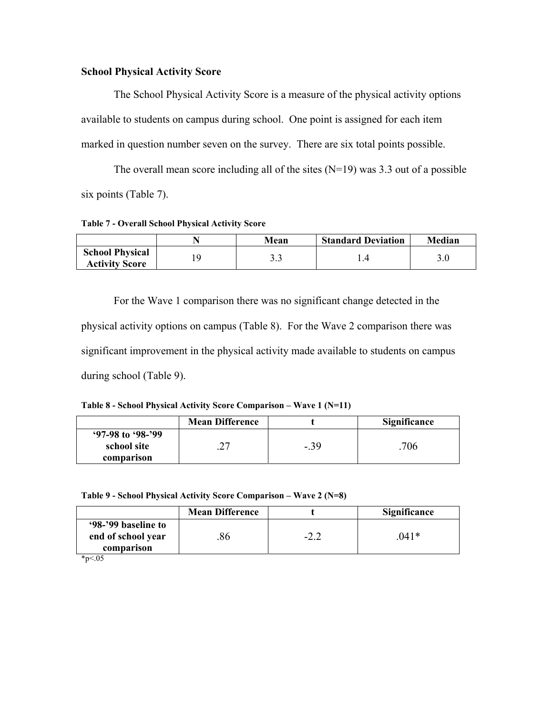# **School Physical Activity Score**

The School Physical Activity Score is a measure of the physical activity options available to students on campus during school. One point is assigned for each item marked in question number seven on the survey. There are six total points possible.

The overall mean score including all of the sites  $(N=19)$  was 3.3 out of a possible six points (Table 7).

**Table 7 - Overall School Physical Activity Score** 

|                                                 | Mean | <b>Standard Deviation</b> | Median |
|-------------------------------------------------|------|---------------------------|--------|
| <b>School Physical</b><br><b>Activity Score</b> | ر. ر |                           |        |

 For the Wave 1 comparison there was no significant change detected in the physical activity options on campus (Table 8). For the Wave 2 comparison there was significant improvement in the physical activity made available to students on campus during school (Table 9).

**Table 8 - School Physical Activity Score Comparison – Wave 1 (N=11)** 

|                                                  | <b>Mean Difference</b> |        | <b>Significance</b> |
|--------------------------------------------------|------------------------|--------|---------------------|
| $97-98$ to $98-299$<br>school site<br>comparison |                        | $-.39$ | 706                 |

**Table 9 - School Physical Activity Score Comparison – Wave 2 (N=8)** 

|                                                         | <b>Mean Difference</b> |        | <b>Significance</b> |
|---------------------------------------------------------|------------------------|--------|---------------------|
| '98-'99 baseline to<br>end of school year<br>comparison | 86                     | $-2.2$ | 041*                |

 $*_{p<.05}$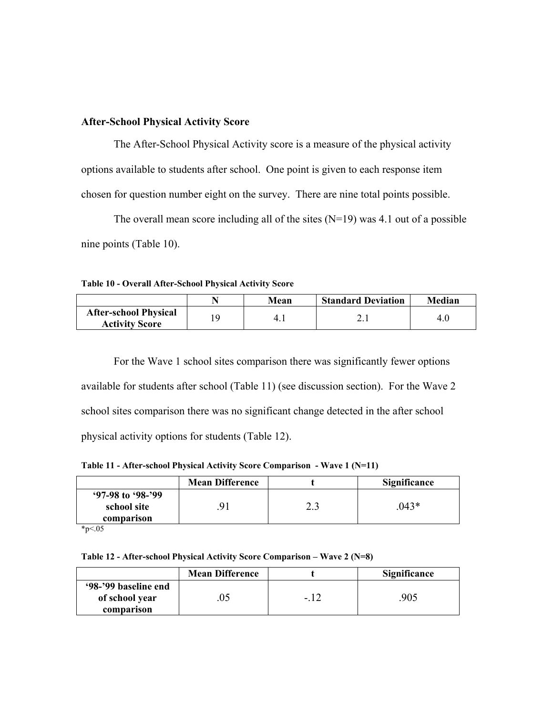# **After-School Physical Activity Score**

The After-School Physical Activity score is a measure of the physical activity options available to students after school. One point is given to each response item chosen for question number eight on the survey. There are nine total points possible.

The overall mean score including all of the sites  $(N=19)$  was 4.1 out of a possible nine points (Table 10).

**Table 10 - Overall After-School Physical Activity Score** 

|                                                       |   | Mean | <b>Standard Deviation</b> | Median |
|-------------------------------------------------------|---|------|---------------------------|--------|
| <b>After-school Physical</b><br><b>Activity Score</b> | Q | 4.1  | 2. l                      | 4.0    |

 For the Wave 1 school sites comparison there was significantly fewer options available for students after school (Table 11) (see discussion section). For the Wave 2 school sites comparison there was no significant change detected in the after school physical activity options for students (Table 12).

**Table 11 - After-school Physical Activity Score Comparison - Wave 1 (N=11)** 

|                                    | <b>Mean Difference</b> |                | Significance |
|------------------------------------|------------------------|----------------|--------------|
| $97-98$ to $98-299$<br>school site |                        | $\overline{a}$ | $043*$       |
| comparison                         |                        |                |              |

 $*_{p<.05}$ 

**Table 12 - After-school Physical Activity Score Comparison – Wave 2 (N=8)** 

|                                                      | <b>Mean Difference</b> |       | Significance |
|------------------------------------------------------|------------------------|-------|--------------|
| '98-'99 baseline end<br>of school year<br>comparison |                        | $-14$ | 905          |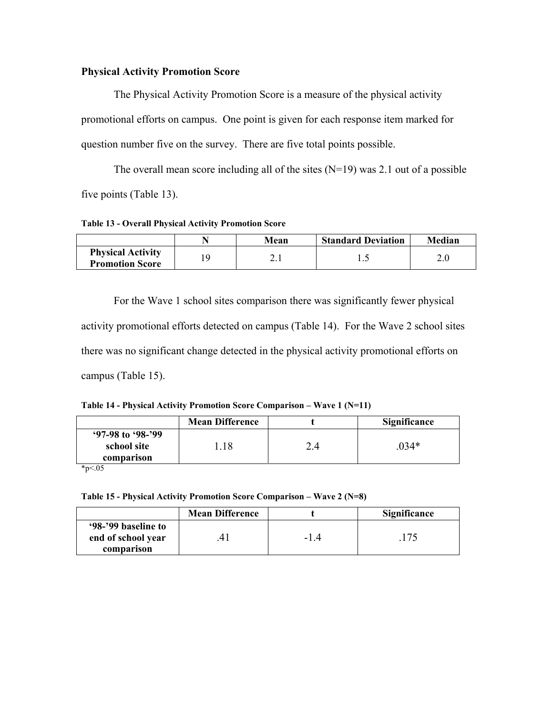# **Physical Activity Promotion Score**

 The Physical Activity Promotion Score is a measure of the physical activity promotional efforts on campus. One point is given for each response item marked for question number five on the survey. There are five total points possible.

The overall mean score including all of the sites  $(N=19)$  was 2.1 out of a possible five points (Table 13).

**Table 13 - Overall Physical Activity Promotion Score** 

|                                                    | Mean | <b>Standard Deviation</b> | Median |
|----------------------------------------------------|------|---------------------------|--------|
| <b>Physical Activity</b><br><b>Promotion Score</b> | ∸.⊥  | ن. 1                      |        |

 For the Wave 1 school sites comparison there was significantly fewer physical activity promotional efforts detected on campus (Table 14). For the Wave 2 school sites there was no significant change detected in the physical activity promotional efforts on campus (Table 15).

**Table 14 - Physical Activity Promotion Score Comparison – Wave 1 (N=11)** 

|                                                  | <b>Mean Difference</b> | <b>Significance</b> |
|--------------------------------------------------|------------------------|---------------------|
| $97-98$ to $98-299$<br>school site<br>comparison | 18                     | $034*$              |

 $*_{p<.05}$ 

**Table 15 - Physical Activity Promotion Score Comparison – Wave 2 (N=8)**

|                                           | <b>Mean Difference</b> |     | <b>Significance</b> |
|-------------------------------------------|------------------------|-----|---------------------|
| '98-'99 baseline to<br>end of school year |                        | -14 |                     |
| comparison                                |                        |     |                     |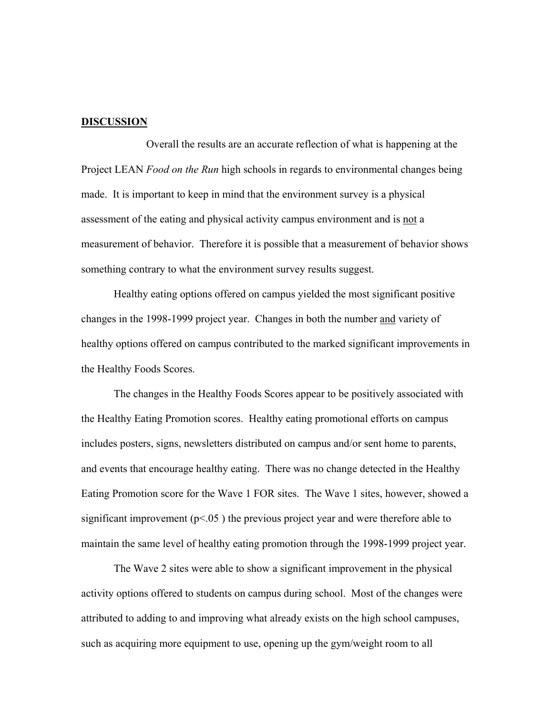#### **DISCUSSION**

 Overall the results are an accurate reflection of what is happening at the Project LEAN *Food on the Run* high schools in regards to environmental changes being made. It is important to keep in mind that the environment survey is a physical assessment of the eating and physical activity campus environment and is not a measurement of behavior. Therefore it is possible that a measurement of behavior shows something contrary to what the environment survey results suggest.

Healthy eating options offered on campus yielded the most significant positive changes in the 1998-1999 project year. Changes in both the number and variety of healthy options offered on campus contributed to the marked significant improvements in the Healthy Foods Scores.

The changes in the Healthy Foods Scores appear to be positively associated with the Healthy Eating Promotion scores. Healthy eating promotional efforts on campus includes posters, signs, newsletters distributed on campus and/or sent home to parents, and events that encourage healthy eating. There was no change detected in the Healthy Eating Promotion score for the Wave 1 FOR sites. The Wave 1 sites, however, showed a significant improvement ( $p$ <.05) the previous project year and were therefore able to maintain the same level of healthy eating promotion through the 1998-1999 project year.

The Wave 2 sites were able to show a significant improvement in the physical activity options offered to students on campus during school. Most of the changes were attributed to adding to and improving what already exists on the high school campuses, such as acquiring more equipment to use, opening up the gym/weight room to all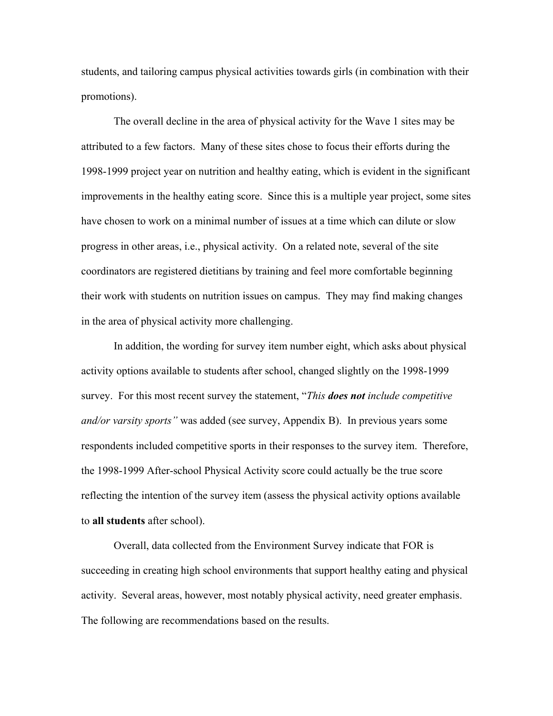students, and tailoring campus physical activities towards girls (in combination with their promotions).

The overall decline in the area of physical activity for the Wave 1 sites may be attributed to a few factors. Many of these sites chose to focus their efforts during the 1998-1999 project year on nutrition and healthy eating, which is evident in the significant improvements in the healthy eating score. Since this is a multiple year project, some sites have chosen to work on a minimal number of issues at a time which can dilute or slow progress in other areas, i.e., physical activity. On a related note, several of the site coordinators are registered dietitians by training and feel more comfortable beginning their work with students on nutrition issues on campus. They may find making changes in the area of physical activity more challenging.

In addition, the wording for survey item number eight, which asks about physical activity options available to students after school, changed slightly on the 1998-1999 survey. For this most recent survey the statement, "*This does not include competitive and/or varsity sports"* was added (see survey, Appendix B). In previous years some respondents included competitive sports in their responses to the survey item. Therefore, the 1998-1999 After-school Physical Activity score could actually be the true score reflecting the intention of the survey item (assess the physical activity options available to **all students** after school).

Overall, data collected from the Environment Survey indicate that FOR is succeeding in creating high school environments that support healthy eating and physical activity. Several areas, however, most notably physical activity, need greater emphasis. The following are recommendations based on the results.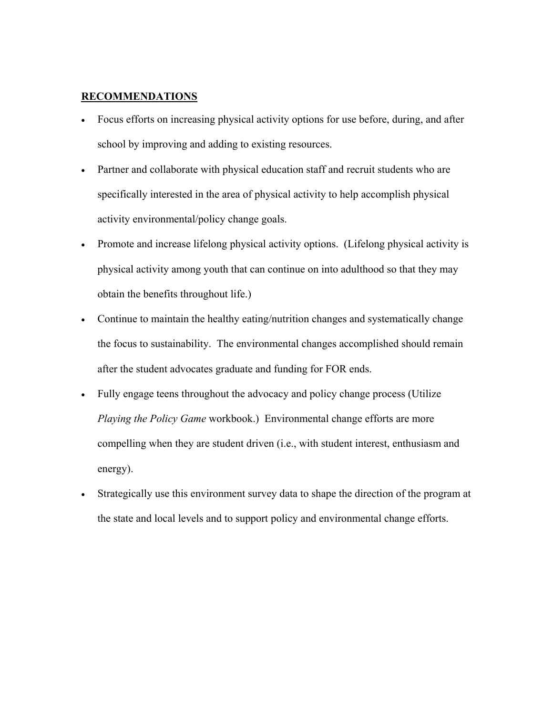# **RECOMMENDATIONS**

- Focus efforts on increasing physical activity options for use before, during, and after school by improving and adding to existing resources.
- Partner and collaborate with physical education staff and recruit students who are specifically interested in the area of physical activity to help accomplish physical activity environmental/policy change goals.
- Promote and increase lifelong physical activity options. (Lifelong physical activity is physical activity among youth that can continue on into adulthood so that they may obtain the benefits throughout life.)
- Continue to maintain the healthy eating/nutrition changes and systematically change the focus to sustainability. The environmental changes accomplished should remain after the student advocates graduate and funding for FOR ends.
- Fully engage teens throughout the advocacy and policy change process (Utilize *Playing the Policy Game* workbook.) Environmental change efforts are more compelling when they are student driven (i.e., with student interest, enthusiasm and energy).
- Strategically use this environment survey data to shape the direction of the program at the state and local levels and to support policy and environmental change efforts.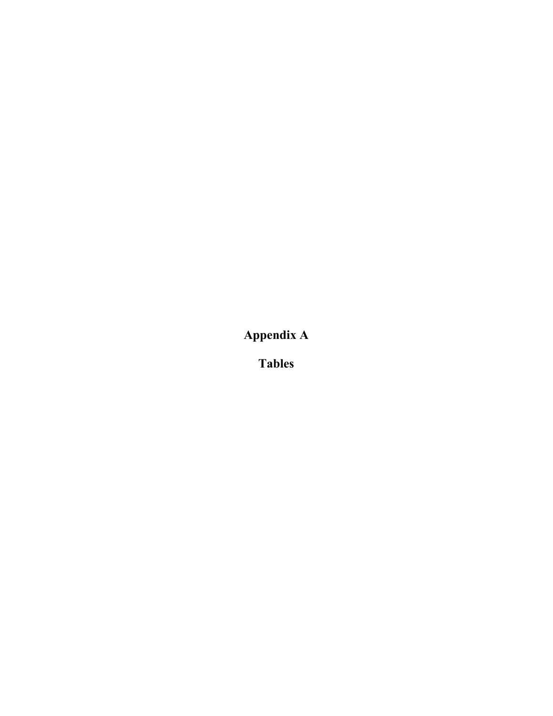**Appendix A** 

**Tables**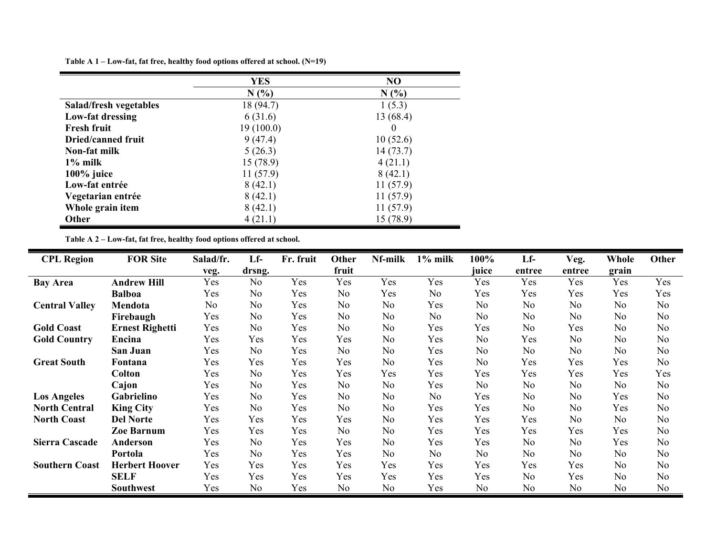**Table A 1 – Low-fat, fat free, healthy food options offered at school. (N=19)** 

|                           | <b>YES</b> | N <sub>O</sub> |
|---------------------------|------------|----------------|
|                           | N(%        | N(%)           |
| Salad/fresh vegetables    | 18 (94.7)  | 1(5.3)         |
| Low-fat dressing          | 6(31.6)    | 13 (68.4)      |
| <b>Fresh fruit</b>        | 19(100.0)  | $\theta$       |
| <b>Dried/canned fruit</b> | 9(47.4)    | 10(52.6)       |
| Non-fat milk              | 5(26.3)    | 14(73.7)       |
| $1\%$ milk                | 15(78.9)   | 4(21.1)        |
| $100\%$ juice             | 11(57.9)   | 8(42.1)        |
| Low-fat entrée            | 8(42.1)    | 11(57.9)       |
| Vegetarian entrée         | 8(42.1)    | 11(57.9)       |
| Whole grain item          | 8(42.1)    | 11(57.9)       |
| <b>Other</b>              | 4(21.1)    | 15 (78.9)      |

**Table A 2 – Low-fat, fat free, healthy food options offered at school.** 

| <b>CPL Region</b>     | <b>FOR Site</b>        | Salad/fr.      | $Lf -$         | Fr. fruit | Other          | Nf-milk        | $1\%$ milk     | 100%           | $Lf -$         | Veg.           | Whole          | Other          |
|-----------------------|------------------------|----------------|----------------|-----------|----------------|----------------|----------------|----------------|----------------|----------------|----------------|----------------|
|                       |                        | veg.           | drsng.         |           | fruit          |                |                | juice          | entree         | entree         | grain          |                |
| <b>Bay Area</b>       | <b>Andrew Hill</b>     | Yes            | N <sub>0</sub> | Yes       | Yes            | Yes            | Yes            | Yes            | Yes            | Yes            | Yes            | Yes            |
|                       | <b>Balboa</b>          | Yes            | No             | Yes       | N <sub>0</sub> | Yes            | No             | Yes            | Yes            | Yes            | Yes            | Yes            |
| <b>Central Valley</b> | Mendota                | N <sub>0</sub> | N <sub>o</sub> | Yes       | N <sub>0</sub> | N <sub>o</sub> | Yes            | N <sub>0</sub> | No             | N <sub>0</sub> | N <sub>0</sub> | N <sub>o</sub> |
|                       | Firebaugh              | Yes            | No             | Yes       | No             | N <sub>0</sub> | N <sub>0</sub> | N <sub>0</sub> | N <sub>0</sub> | N <sub>0</sub> | N <sub>0</sub> | N <sub>o</sub> |
| <b>Gold Coast</b>     | <b>Ernest Righetti</b> | Yes            | No             | Yes       | N <sub>o</sub> | N <sub>o</sub> | Yes            | Yes            | No             | Yes            | N <sub>0</sub> | N <sub>o</sub> |
| <b>Gold Country</b>   | Encina                 | Yes            | Yes            | Yes       | Yes            | N <sub>0</sub> | Yes            | N <sub>0</sub> | Yes            | N <sub>0</sub> | N <sub>o</sub> | N <sub>o</sub> |
|                       | San Juan               | Yes            | No             | Yes       | N <sub>o</sub> | N <sub>0</sub> | Yes            | N <sub>0</sub> | N <sub>o</sub> | N <sub>o</sub> | N <sub>0</sub> | N <sub>o</sub> |
| <b>Great South</b>    | Fontana                | Yes            | Yes            | Yes       | Yes            | N <sub>o</sub> | Yes            | N <sub>0</sub> | Yes            | Yes            | Yes            | N <sub>o</sub> |
|                       | <b>Colton</b>          | Yes            | No             | Yes       | Yes            | Yes            | Yes            | Yes            | Yes            | Yes            | Yes            | Yes            |
|                       | Cajon                  | Yes            | No             | Yes       | No             | N <sub>0</sub> | Yes            | N <sub>0</sub> | No             | N <sub>o</sub> | N <sub>0</sub> | N <sub>o</sub> |
| <b>Los Angeles</b>    | Gabrielino             | Yes            | No             | Yes       | N <sub>o</sub> | N <sub>0</sub> | No             | Yes            | N <sub>o</sub> | No             | Yes            | N <sub>o</sub> |
| <b>North Central</b>  | <b>King City</b>       | Yes            | N <sub>0</sub> | Yes       | N <sub>o</sub> | N <sub>o</sub> | Yes            | Yes            | N <sub>o</sub> | N <sub>0</sub> | Yes            | N <sub>o</sub> |
| <b>North Coast</b>    | <b>Del Norte</b>       | Yes            | Yes            | Yes       | Yes            | No             | Yes            | Yes            | Yes            | N <sub>o</sub> | N <sub>0</sub> | N <sub>o</sub> |
|                       | <b>Zoe Barnum</b>      | Yes            | Yes            | Yes       | N <sub>0</sub> | N <sub>0</sub> | Yes            | Yes            | Yes            | Yes            | Yes            | N <sub>o</sub> |
| <b>Sierra Cascade</b> | <b>Anderson</b>        | Yes            | N <sub>o</sub> | Yes       | Yes            | N <sub>o</sub> | Yes            | Yes            | No             | No             | Yes            | N <sub>o</sub> |
|                       | Portola                | Yes            | N <sub>0</sub> | Yes       | Yes            | N <sub>o</sub> | N <sub>0</sub> | No             | N <sub>o</sub> | N <sub>0</sub> | N <sub>0</sub> | N <sub>o</sub> |
| <b>Southern Coast</b> | <b>Herbert Hoover</b>  | Yes            | Yes            | Yes       | Yes            | Yes            | Yes            | Yes            | Yes            | Yes            | N <sub>o</sub> | N <sub>o</sub> |
|                       | <b>SELF</b>            | Yes            | Yes            | Yes       | Yes            | Yes            | Yes            | Yes            | No             | Yes            | N <sub>o</sub> | N <sub>o</sub> |
|                       | <b>Southwest</b>       | Yes            | N <sub>0</sub> | Yes       | N <sub>o</sub> | N <sub>o</sub> | Yes            | N <sub>0</sub> | No             | N <sub>o</sub> | N <sub>0</sub> | N <sub>o</sub> |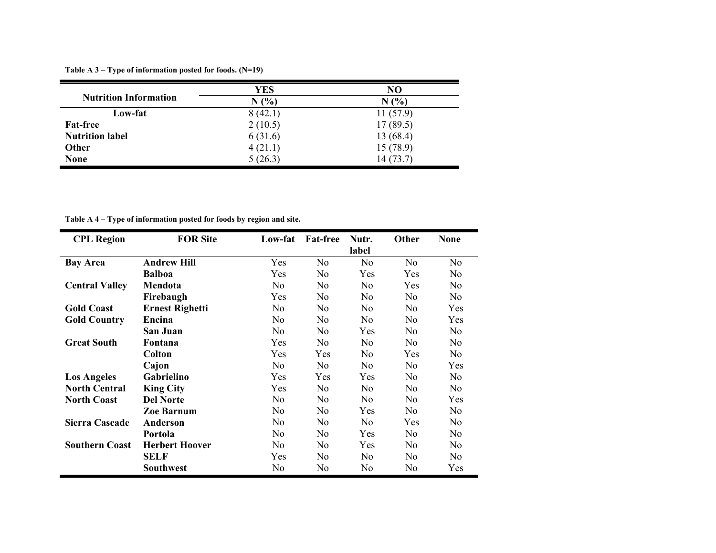**Table A 3 – Type of information posted for foods. (N=19)** 

|                              | YES     | N <sub>O</sub> |
|------------------------------|---------|----------------|
| <b>Nutrition Information</b> | N(%     | N(%            |
| Low-fat                      | 8(42.1) | 11(57.9)       |
| <b>Fat-free</b>              | 2(10.5) | 17(89.5)       |
| <b>Nutrition label</b>       | 6(31.6) | 13(68.4)       |
| <b>Other</b>                 | 4(21.1) | 15(78.9)       |
| <b>None</b>                  | 5(26.3) | 14(73.7)       |

**Table A 4 – Type of information posted for foods by region and site.** 

| <b>CPL Region</b>     | <b>FOR Site</b>        | Low-fat        | <b>Fat-free</b> | Nutr.          | Other          | <b>None</b>    |
|-----------------------|------------------------|----------------|-----------------|----------------|----------------|----------------|
|                       |                        |                |                 | label          |                |                |
| <b>Bay Area</b>       | <b>Andrew Hill</b>     | Yes            | N <sub>0</sub>  | N <sub>o</sub> | N <sub>0</sub> | N <sub>o</sub> |
|                       | <b>Balboa</b>          | Yes            | No              | Yes            | Yes            | N <sub>0</sub> |
| <b>Central Valley</b> | Mendota                | N <sub>0</sub> | N <sub>0</sub>  | N <sub>0</sub> | Yes            | No.            |
|                       | Firebaugh              | Yes            | No              | N <sub>0</sub> | No             | N <sub>0</sub> |
| <b>Gold Coast</b>     | <b>Ernest Righetti</b> | N <sub>0</sub> | No              | N <sub>0</sub> | No.            | Yes            |
| <b>Gold Country</b>   | Encina                 | N <sub>o</sub> | N <sub>0</sub>  | N <sub>0</sub> | No.            | Yes            |
|                       | San Juan               | N <sub>0</sub> | No              | Yes            | N <sub>0</sub> | N <sub>0</sub> |
| <b>Great South</b>    | Fontana                | Yes            | No              | N <sub>0</sub> | N <sub>0</sub> | N <sub>0</sub> |
|                       | <b>Colton</b>          | Yes            | Yes             | N <sub>0</sub> | Yes            | N <sub>0</sub> |
|                       | Cajon                  | N <sub>0</sub> | N <sub>0</sub>  | N <sub>0</sub> | N <sub>0</sub> | Yes            |
| <b>Los Angeles</b>    | Gabrielino             | Yes            | Yes             | Yes            | N <sub>0</sub> | N <sub>0</sub> |
| <b>North Central</b>  | <b>King City</b>       | Yes            | No              | N <sub>0</sub> | N <sub>0</sub> | N <sub>0</sub> |
| <b>North Coast</b>    | <b>Del Norte</b>       | N <sub>0</sub> | N <sub>0</sub>  | N <sub>0</sub> | No.            | Yes            |
|                       | <b>Zoe Barnum</b>      | N <sub>0</sub> | No              | Yes            | N <sub>0</sub> | N <sub>0</sub> |
| Sierra Cascade        | Anderson               | N <sub>0</sub> | No              | N <sub>0</sub> | Yes            | N <sub>0</sub> |
|                       | Portola                | N <sub>0</sub> | N <sub>0</sub>  | Yes            | N <sub>0</sub> | N <sub>0</sub> |
| <b>Southern Coast</b> | <b>Herbert Hoover</b>  | N <sub>0</sub> | N <sub>0</sub>  | <b>Yes</b>     | No             | N <sub>0</sub> |
|                       | <b>SELF</b>            | Yes            | No              | N <sub>0</sub> | N <sub>0</sub> | N <sub>0</sub> |
|                       | Southwest              | N <sub>0</sub> | N <sub>0</sub>  | N <sub>0</sub> | No             | Yes            |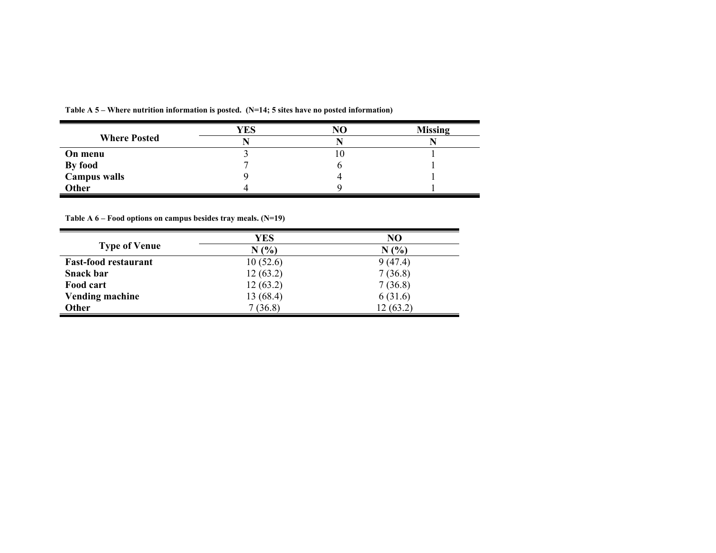|                     | YES | N <sub>O</sub> | <b>Missing</b> |
|---------------------|-----|----------------|----------------|
| <b>Where Posted</b> |     |                |                |
| On menu             |     | ιv             |                |
| By food             |     |                |                |
| Campus walls        |     |                |                |
| Other               |     |                |                |

**Table A 5 – Where nutrition information is posted. (N=14; 5 sites have no posted information)** 

**Table A 6 – Food options on campus besides tray meals. (N=19)** 

|                             | YES       | NO       |
|-----------------------------|-----------|----------|
| <b>Type of Venue</b>        | N(%       | N(%      |
| <b>Fast-food restaurant</b> | 10(52.6)  | 9(47.4)  |
| <b>Snack bar</b>            | 12(63.2)  | 7(36.8)  |
| Food cart                   | 12(63.2)  | 7(36.8)  |
| <b>Vending machine</b>      | 13 (68.4) | 6(31.6)  |
| <b>Other</b>                | 7(36.8)   | 12(63.2) |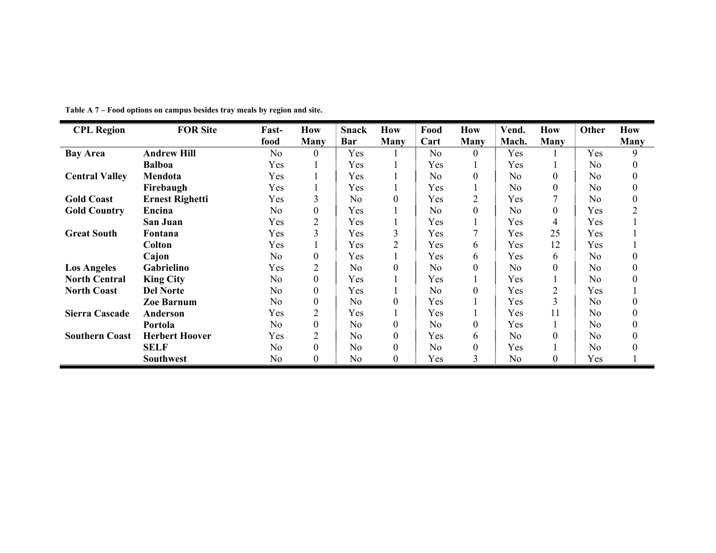| <b>CPL Region</b>     | <b>FOR Site</b>        | Fast-          | How              | <b>Snack</b>   | How              | Food           | How              | Vend.          | <b>How</b>     | Other          | How      |
|-----------------------|------------------------|----------------|------------------|----------------|------------------|----------------|------------------|----------------|----------------|----------------|----------|
|                       |                        | food           | <b>Many</b>      | Bar            | <b>Many</b>      | Cart           | <b>Many</b>      | Mach.          | Many           |                | Many     |
| <b>Bay Area</b>       | <b>Andrew Hill</b>     | N <sub>o</sub> | 0                | Yes            |                  | N <sub>0</sub> | $\theta$         | Yes            |                | Yes            | 9        |
|                       | <b>Balboa</b>          | Yes            |                  | Yes            |                  | Yes            |                  | Yes            |                | N <sub>0</sub> | $\theta$ |
| <b>Central Valley</b> | Mendota                | Yes            |                  | Yes            |                  | No.            | $\boldsymbol{0}$ | N <sub>o</sub> | $\theta$       | N <sub>0</sub> | $\Omega$ |
|                       | Firebaugh              | Yes            |                  | Yes            |                  | Yes            |                  | N <sub>o</sub> | $\mathbf{0}$   | N <sub>o</sub> | $\theta$ |
| <b>Gold Coast</b>     | <b>Ernest Righetti</b> | Yes            | 3                | N <sub>o</sub> | $\theta$         | Yes            | $\overline{2}$   | Yes            |                | N <sub>o</sub> | $\theta$ |
| <b>Gold Country</b>   | Encina                 | N <sub>o</sub> | $\boldsymbol{0}$ | Yes            |                  | N <sub>0</sub> | $\boldsymbol{0}$ | N <sub>o</sub> | $\theta$       | Yes            |          |
|                       | San Juan               | Yes            | $\overline{2}$   | Yes            |                  | Yes            |                  | Yes            | 4              | Yes            |          |
| <b>Great South</b>    | Fontana                | Yes            | 3                | Yes            | 3                | Yes            | 7                | Yes            | 25             | Yes            |          |
|                       | Colton                 | Yes            |                  | Yes            | $\overline{2}$   | Yes            | 6                | Yes            | 12             | Yes            |          |
|                       | Cajon                  | N <sub>o</sub> | $\boldsymbol{0}$ | Yes            |                  | Yes            | 6                | Yes            | 6              | N <sub>o</sub> |          |
| <b>Los Angeles</b>    | Gabrielino             | Yes            | $\overline{2}$   | N <sub>0</sub> | $\theta$         | N <sub>o</sub> | $\overline{0}$   | N <sub>o</sub> | $\Omega$       | N <sub>0</sub> | $\Omega$ |
| <b>North Central</b>  | <b>King City</b>       | N <sub>0</sub> | $\boldsymbol{0}$ | Yes            |                  | Yes            |                  | Yes            |                | N <sub>0</sub> | $\Omega$ |
| <b>North Coast</b>    | <b>Del Norte</b>       | No.            | $\boldsymbol{0}$ | Yes            |                  | N <sub>0</sub> | 0                | Yes            | $\overline{2}$ | Yes            |          |
|                       | <b>Zoe Barnum</b>      | N <sub>0</sub> | $\boldsymbol{0}$ | N <sub>0</sub> | $\theta$         | Yes            |                  | Yes            | 3              | N <sub>0</sub> |          |
| <b>Sierra Cascade</b> | Anderson               | Yes            | $\overline{2}$   | Yes            |                  | Yes            |                  | Yes            | 11             | N <sub>0</sub> | $\Omega$ |
|                       | Portola                | N <sub>0</sub> | $\boldsymbol{0}$ | N <sub>0</sub> | $\boldsymbol{0}$ | No.            | $\boldsymbol{0}$ | Yes            |                | N <sub>0</sub> | $\theta$ |
| <b>Southern Coast</b> | <b>Herbert Hoover</b>  | Yes            | $\overline{2}$   | N <sub>o</sub> | $\theta$         | Yes            | 6                | N <sub>o</sub> | $\theta$       | N <sub>o</sub> |          |
|                       | <b>SELF</b>            | N <sub>0</sub> | $\boldsymbol{0}$ | N <sub>o</sub> | $\boldsymbol{0}$ | N <sub>0</sub> | $\boldsymbol{0}$ | Yes            |                | N <sub>o</sub> |          |
|                       | <b>Southwest</b>       | N <sub>0</sub> | 0                | N <sub>o</sub> | 0                | Yes            | 3                | N <sub>0</sub> | $\theta$       | Yes            |          |

**Table A 7 – Food options on campus besides tray meals by region and site.**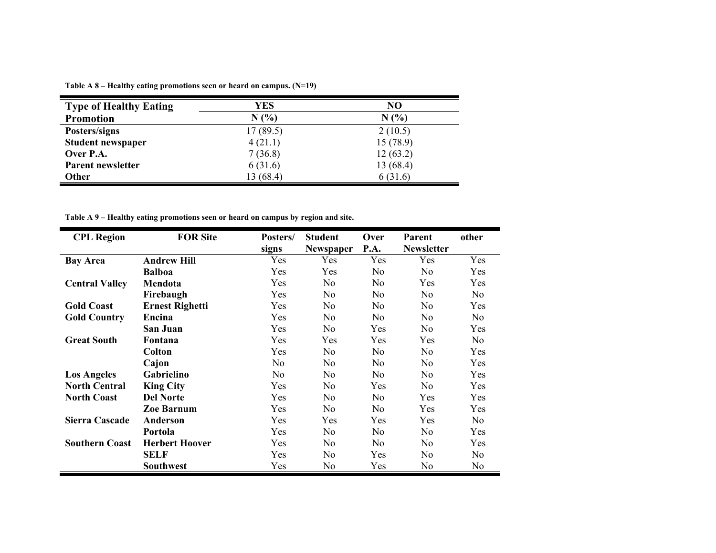| <b>Type of Healthy Eating</b> | YES       | NO        |
|-------------------------------|-----------|-----------|
| <b>Promotion</b>              | N(%)      | N(%)      |
| Posters/signs                 | 17(89.5)  | 2(10.5)   |
| <b>Student newspaper</b>      | 4(21.1)   | 15(78.9)  |
| Over P.A.                     | 7(36.8)   | 12(63.2)  |
| Parent newsletter             | 6(31.6)   | 13 (68.4) |
| <b>Other</b>                  | 13 (68.4) | 6(31.6)   |

**Table A 8 – Healthy eating promotions seen or heard on campus. (N=19)** 

**Table A 9 – Healthy eating promotions seen or heard on campus by region and site.** 

| <b>CPL Region</b>     | <b>FOR Site</b>        | Posters/       | <b>Student</b>          | Over<br>P.A.   | <b>Parent</b><br><b>Newsletter</b> | other          |
|-----------------------|------------------------|----------------|-------------------------|----------------|------------------------------------|----------------|
| <b>Bay Area</b>       | <b>Andrew Hill</b>     | signs<br>Yes   | <b>Newspaper</b><br>Yes | Yes            | Yes                                | Yes            |
|                       | <b>Balboa</b>          | Yes            | Yes                     | N <sub>0</sub> | N <sub>0</sub>                     | Yes            |
|                       |                        |                |                         |                |                                    |                |
| <b>Central Valley</b> | Mendota                | Yes            | N <sub>0</sub>          | N <sub>0</sub> | Yes                                | Yes            |
|                       | Firebaugh              | Yes            | N <sub>0</sub>          | N <sub>0</sub> | No                                 | N <sub>0</sub> |
| <b>Gold Coast</b>     | <b>Ernest Righetti</b> | Yes            | N <sub>0</sub>          | N <sub>0</sub> | N <sub>0</sub>                     | Yes            |
| <b>Gold Country</b>   | Encina                 | Yes            | N <sub>0</sub>          | N <sub>0</sub> | N <sub>0</sub>                     | No             |
|                       | San Juan               | Yes            | N <sub>0</sub>          | Yes            | N <sub>0</sub>                     | Yes            |
| <b>Great South</b>    | Fontana                | Yes            | Yes                     | <b>Yes</b>     | <b>Yes</b>                         | N <sub>0</sub> |
|                       | Colton                 | Yes            | N <sub>0</sub>          | N <sub>o</sub> | N <sub>0</sub>                     | Yes            |
|                       | Cajon                  | N <sub>0</sub> | N <sub>0</sub>          | N <sub>0</sub> | No                                 | Yes            |
| <b>Los Angeles</b>    | Gabrielino             | N <sub>o</sub> | N <sub>0</sub>          | N <sub>0</sub> | No                                 | Yes            |
| <b>North Central</b>  | <b>King City</b>       | Yes            | N <sub>0</sub>          | Yes            | N <sub>0</sub>                     | Yes            |
| <b>North Coast</b>    | <b>Del Norte</b>       | Yes            | N <sub>0</sub>          | N <sub>0</sub> | Yes                                | Yes            |
|                       | <b>Zoe Barnum</b>      | Yes            | N <sub>0</sub>          | N <sub>0</sub> | Yes                                | Yes            |
| Sierra Cascade        | Anderson               | Yes            | Yes                     | Yes            | Yes                                | N <sub>0</sub> |
|                       | Portola                | Yes            | N <sub>0</sub>          | N <sub>0</sub> | No                                 | Yes            |
| <b>Southern Coast</b> | <b>Herbert Hoover</b>  | Yes            | N <sub>0</sub>          | N <sub>0</sub> | No                                 | Yes            |
|                       | <b>SELF</b>            | Yes            | N <sub>0</sub>          | Yes            | N <sub>0</sub>                     | No             |
|                       | <b>Southwest</b>       | Yes            | N <sub>0</sub>          | Yes            | No                                 | No             |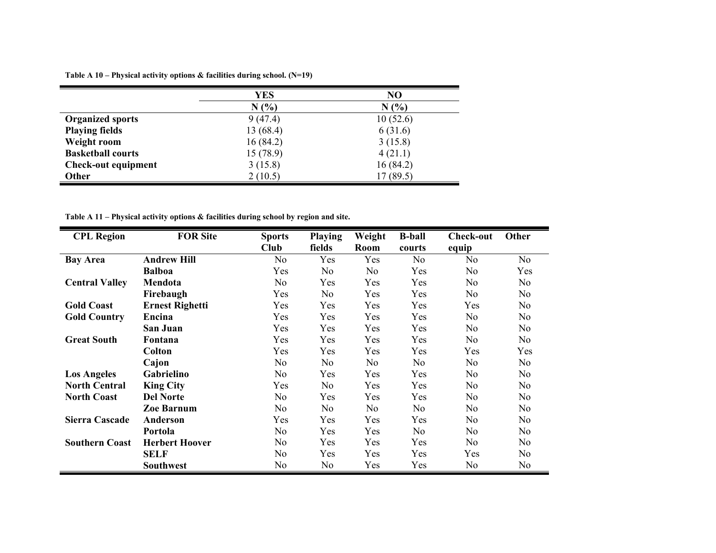**Table A 10 – Physical activity options & facilities during school. (N=19)** 

|                            | YES       | N <sub>O</sub> |
|----------------------------|-----------|----------------|
|                            | N(%)      | N(%)           |
| <b>Organized sports</b>    | 9(47.4)   | 10(52.6)       |
| <b>Playing fields</b>      | 13 (68.4) | 6(31.6)        |
| Weight room                | 16(84.2)  | 3(15.8)        |
| <b>Basketball courts</b>   | 15(78.9)  | 4(21.1)        |
| <b>Check-out equipment</b> | 3(15.8)   | 16(84.2)       |
| Other                      | 2(10.5)   | 17 (89.5)      |

**Table A 11 – Physical activity options & facilities during school by region and site.** 

| <b>CPL Region</b>     | <b>FOR Site</b>        | <b>Sports</b>  | <b>Playing</b> | Weight         | <b>B-ball</b>  | Check-out      | Other          |
|-----------------------|------------------------|----------------|----------------|----------------|----------------|----------------|----------------|
|                       |                        | Club           | fields         | Room           | courts         | equip          |                |
| <b>Bay Area</b>       | <b>Andrew Hill</b>     | N <sub>0</sub> | Yes            | Yes            | N <sub>0</sub> | N <sub>o</sub> | No             |
|                       | <b>Balboa</b>          | Yes            | N <sub>0</sub> | N <sub>o</sub> | Yes            | N <sub>0</sub> | Yes            |
| <b>Central Valley</b> | Mendota                | N <sub>0</sub> | Yes            | Yes            | Yes            | N <sub>0</sub> | No             |
|                       | Firebaugh              | Yes            | N <sub>0</sub> | Yes            | Yes            | No             | No             |
| <b>Gold Coast</b>     | <b>Ernest Righetti</b> | Yes            | Yes            | Yes            | Yes            | Yes            | No             |
| <b>Gold Country</b>   | Encina                 | Yes            | Yes            | Yes            | Yes            | N <sub>0</sub> | No             |
|                       | San Juan               | Yes            | Yes            | Yes            | Yes            | N <sub>0</sub> | No             |
| <b>Great South</b>    | Fontana                | Yes            | Yes            | Yes            | Yes            | N <sub>o</sub> | N <sub>o</sub> |
|                       | <b>Colton</b>          | Yes            | Yes            | Yes            | Yes            | Yes            | Yes            |
|                       | Cajon                  | N <sub>o</sub> | No.            | N <sub>o</sub> | No             | N <sub>0</sub> | No             |
| <b>Los Angeles</b>    | Gabrielino             | N <sub>0</sub> | Yes            | Yes            | Yes            | N <sub>0</sub> | N <sub>o</sub> |
| <b>North Central</b>  | <b>King City</b>       | Yes            | N <sub>o</sub> | Yes            | Yes            | N <sub>o</sub> | N <sub>o</sub> |
| <b>North Coast</b>    | <b>Del Norte</b>       | N <sub>0</sub> | Yes            | Yes            | Yes            | N <sub>o</sub> | N <sub>o</sub> |
|                       | <b>Zoe Barnum</b>      | N <sub>0</sub> | No.            | N <sub>o</sub> | N <sub>0</sub> | N <sub>0</sub> | N <sub>o</sub> |
| <b>Sierra Cascade</b> | Anderson               | Yes            | <b>Yes</b>     | Yes            | <b>Yes</b>     | N <sub>0</sub> | No             |
|                       | Portola                | N <sub>0</sub> | Yes            | Yes            | N <sub>0</sub> | N <sub>0</sub> | No             |
| <b>Southern Coast</b> | <b>Herbert Hoover</b>  | No             | Yes            | Yes            | Yes            | N <sub>0</sub> | No             |
|                       | <b>SELF</b>            | N <sub>0</sub> | Yes            | Yes            | Yes            | Yes            | No             |
|                       | <b>Southwest</b>       | No             | No             | Yes            | Yes            | No             | No             |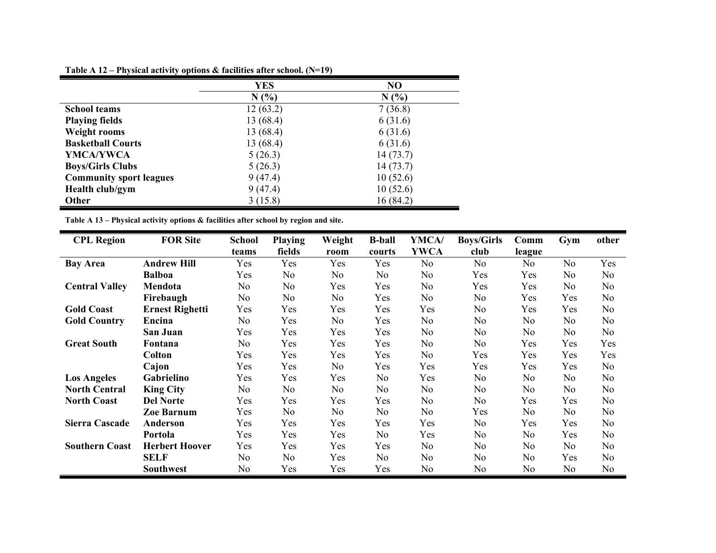| Table A 12 – Physical activity options & facilities after school. $(N=19)$ |  |  |
|----------------------------------------------------------------------------|--|--|
|                                                                            |  |  |

|                                | YES       | NO       |
|--------------------------------|-----------|----------|
|                                | N(%)      | N(%      |
| <b>School teams</b>            | 12(63.2)  | 7(36.8)  |
| <b>Playing fields</b>          | 13 (68.4) | 6(31.6)  |
| <b>Weight rooms</b>            | 13 (68.4) | 6(31.6)  |
| <b>Basketball Courts</b>       | 13 (68.4) | 6(31.6)  |
| YMCA/YWCA                      | 5(26.3)   | 14(73.7) |
| <b>Boys/Girls Clubs</b>        | 5(26.3)   | 14(73.7) |
| <b>Community sport leagues</b> | 9(47.4)   | 10(52.6) |
| Health club/gym                | 9(47.4)   | 10(52.6) |
| <b>Other</b>                   | 3(15.8)   | 16(84.2) |

**Table A 13 – Physical activity options & facilities after school by region and site.** 

٠

| <b>CPL Region</b>     | <b>FOR Site</b>        | <b>School</b> | <b>Playing</b> | Weight         | <b>B-ball</b>  | YMCA/          | <b>Boys/Girls</b> | Comm           | Gym            | other          |
|-----------------------|------------------------|---------------|----------------|----------------|----------------|----------------|-------------------|----------------|----------------|----------------|
|                       |                        | teams         | fields         | room           | courts         | <b>YWCA</b>    | club              | league         |                |                |
| <b>Bay Area</b>       | <b>Andrew Hill</b>     | Yes           | Yes            | Yes            | Yes            | N <sub>o</sub> | N <sub>o</sub>    | N <sub>0</sub> | No             | Yes            |
|                       | <b>Balboa</b>          | Yes           | No             | No             | N <sub>o</sub> | N <sub>o</sub> | Yes               | Yes            | No             | N <sub>0</sub> |
| <b>Central Valley</b> | Mendota                | No.           | No             | Yes            | Yes            | N <sub>0</sub> | Yes               | Yes            | No             | No             |
|                       | Firebaugh              | No.           | No             | N <sub>0</sub> | Yes            | No.            | No                | Yes            | Yes            | No             |
| <b>Gold Coast</b>     | <b>Ernest Righetti</b> | Yes           | Yes            | Yes            | Yes            | Yes            | N <sub>0</sub>    | Yes            | Yes            | N <sub>o</sub> |
| <b>Gold Country</b>   | Encina                 | No.           | Yes            | No             | Yes            | N <sub>o</sub> | N <sub>o</sub>    | N <sub>o</sub> | No             | N <sub>o</sub> |
|                       | San Juan               | Yes           | Yes            | Yes            | Yes            | No.            | No                | N <sub>0</sub> | No             | No             |
| <b>Great South</b>    | Fontana                | No.           | Yes            | Yes            | Yes            | N <sub>o</sub> | No                | Yes            | Yes            | Yes            |
|                       | <b>Colton</b>          | Yes           | Yes            | Yes            | Yes            | N <sub>0</sub> | Yes               | Yes            | Yes            | Yes            |
|                       | Cajon                  | Yes           | Yes            | No             | Yes            | Yes            | Yes               | Yes            | Yes            | No             |
| <b>Los Angeles</b>    | Gabrielino             | Yes           | Yes            | Yes            | N <sub>0</sub> | Yes            | No                | No             | No             | No             |
| <b>North Central</b>  | <b>King City</b>       | No.           | No.            | No             | N <sub>0</sub> | N <sub>0</sub> | No.               | No             | N <sub>0</sub> | No             |
| <b>North Coast</b>    | <b>Del Norte</b>       | Yes           | Yes            | Yes            | Yes            | N <sub>0</sub> | No.               | Yes            | Yes            | N <sub>0</sub> |
|                       | <b>Zoe Barnum</b>      | Yes           | No             | No.            | N <sub>0</sub> | N <sub>0</sub> | Yes               | N <sub>o</sub> | No             | No             |
| <b>Sierra Cascade</b> | Anderson               | Yes           | Yes            | Yes            | Yes            | Yes            | N <sub>0</sub>    | Yes            | Yes            | N <sub>0</sub> |
|                       | Portola                | Yes           | Yes            | Yes            | N <sub>0</sub> | Yes            | No.               | No             | Yes            | No             |
| <b>Southern Coast</b> | <b>Herbert Hoover</b>  | Yes           | Yes            | Yes            | Yes            | No.            | No                | N <sub>0</sub> | No             | N <sub>0</sub> |
|                       | <b>SELF</b>            | No.           | No.            | Yes            | N <sub>o</sub> | N <sub>o</sub> | No                | No             | Yes            | N <sub>0</sub> |
|                       | <b>Southwest</b>       | No            | Yes            | Yes            | Yes            | No             | No                | No             | No             | No             |

 $\blacksquare$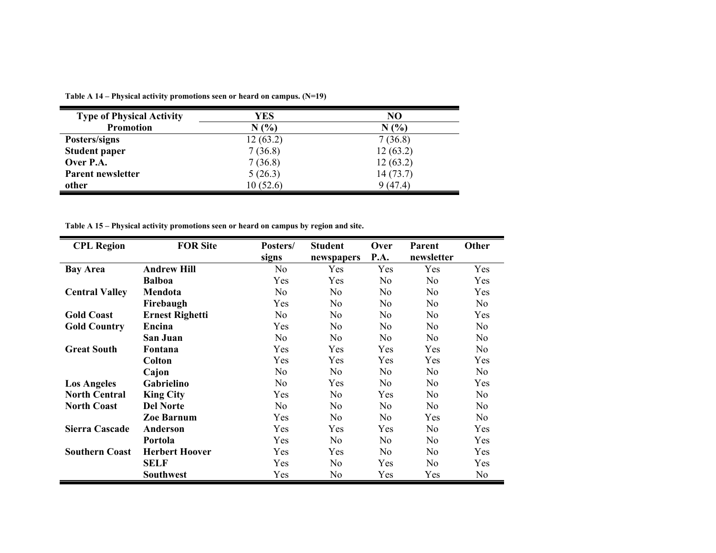**Table A 14 – Physical activity promotions seen or heard on campus. (N=19)** 

| <b>Type of Physical Activity</b><br><b>Promotion</b> | YES<br>N(% | NO<br>N(%) |
|------------------------------------------------------|------------|------------|
| Posters/signs                                        | 12(63.2)   | 7(36.8)    |
| <b>Student paper</b>                                 | 7(36.8)    | 12(63.2)   |
| Over P.A.                                            | 7(36.8)    | 12(63.2)   |
| Parent newsletter                                    | 5(26.3)    | 14(73.7)   |
| other                                                | 10(52.6)   | 9(47.4)    |

**Table A 15 – Physical activity promotions seen or heard on campus by region and site.** 

| <b>CPL Region</b>     | <b>FOR Site</b>        | Posters/       | <b>Student</b> | Over           | <b>Parent</b>  | Other          |
|-----------------------|------------------------|----------------|----------------|----------------|----------------|----------------|
|                       |                        | signs          | newspapers     | P.A.           | newsletter     |                |
| <b>Bay Area</b>       | <b>Andrew Hill</b>     | No             | Yes            | Yes            | Yes            | Yes            |
|                       | <b>Balboa</b>          | Yes            | <b>Yes</b>     | No.            | No.            | Yes            |
| <b>Central Valley</b> | Mendota                | N <sub>0</sub> | N <sub>0</sub> | N <sub>0</sub> | N <sub>0</sub> | Yes            |
|                       | Firebaugh              | Yes            | N <sub>0</sub> | N <sub>0</sub> | N <sub>0</sub> | No.            |
| <b>Gold Coast</b>     | <b>Ernest Righetti</b> | N <sub>0</sub> | N <sub>0</sub> | N <sub>0</sub> | N <sub>0</sub> | Yes            |
| <b>Gold Country</b>   | Encina                 | Yes            | No             | No             | No             | N <sub>0</sub> |
|                       | San Juan               | N <sub>0</sub> | N <sub>0</sub> | N <sub>0</sub> | N <sub>0</sub> | N <sub>0</sub> |
| <b>Great South</b>    | Fontana                | Yes            | Yes            | Yes            | Yes            | N <sub>0</sub> |
|                       | <b>Colton</b>          | Yes            | Yes            | Yes            | Yes            | Yes            |
|                       | Cajon                  | N <sub>0</sub> | N <sub>0</sub> | N <sub>0</sub> | No             | N <sub>0</sub> |
| <b>Los Angeles</b>    | Gabrielino             | No             | <b>Yes</b>     | No.            | N <sub>0</sub> | <b>Yes</b>     |
| <b>North Central</b>  | <b>King City</b>       | Yes            | N <sub>0</sub> | Yes            | No.            | No.            |
| <b>North Coast</b>    | <b>Del Norte</b>       | N <sub>0</sub> | N <sub>0</sub> | N <sub>0</sub> | N <sub>0</sub> | N <sub>0</sub> |
|                       | <b>Zoe Barnum</b>      | Yes            | N <sub>0</sub> | No.            | Yes            | N <sub>0</sub> |
| <b>Sierra Cascade</b> | Anderson               | Yes            | Yes            | Yes            | No             | Yes            |
|                       | Portola                | Yes            | N <sub>0</sub> | No             | No             | Yes            |
| <b>Southern Coast</b> | <b>Herbert Hoover</b>  | <b>Yes</b>     | <b>Yes</b>     | N <sub>0</sub> | N <sub>0</sub> | <b>Yes</b>     |
|                       | <b>SELF</b>            | Yes            | N <sub>0</sub> | Yes            | N <sub>0</sub> | Yes            |
|                       | <b>Southwest</b>       | Yes            | No             | Yes            | Yes            | No             |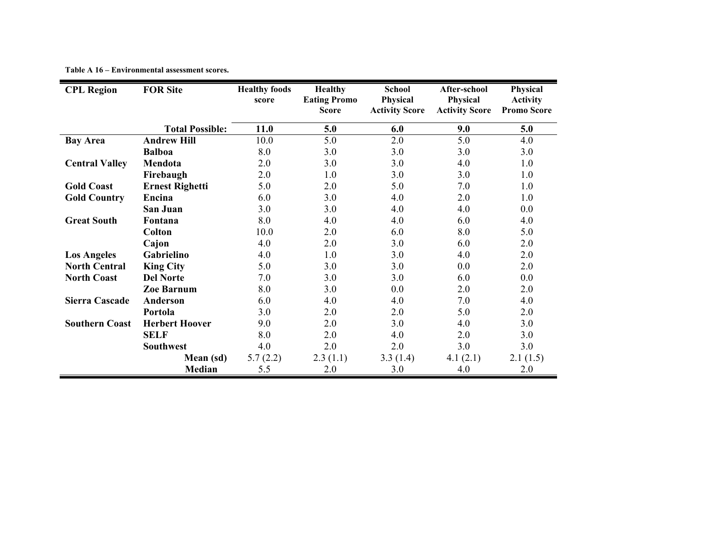| <b>CPL Region</b>     | <b>FOR Site</b>        | <b>Healthy foods</b> | <b>Healthy</b>                      | <b>School</b>                     | After-school                      | Physical                              |
|-----------------------|------------------------|----------------------|-------------------------------------|-----------------------------------|-----------------------------------|---------------------------------------|
|                       |                        | score                | <b>Eating Promo</b><br><b>Score</b> | Physical<br><b>Activity Score</b> | Physical<br><b>Activity Score</b> | <b>Activity</b><br><b>Promo Score</b> |
|                       |                        |                      |                                     |                                   |                                   |                                       |
|                       | <b>Total Possible:</b> | 11.0                 | 5.0                                 | 6.0                               | 9.0                               | 5.0                                   |
| <b>Bay Area</b>       | <b>Andrew Hill</b>     | 10.0                 | 5.0                                 | 2.0                               | 5.0                               | 4.0                                   |
|                       | <b>Balboa</b>          | 8.0                  | 3.0                                 | 3.0                               | 3.0                               | 3.0                                   |
| <b>Central Valley</b> | Mendota                | 2.0                  | 3.0                                 | 3.0                               | 4.0                               | 1.0                                   |
|                       | Firebaugh              | 2.0                  | 1.0                                 | 3.0                               | 3.0                               | 1.0                                   |
| <b>Gold Coast</b>     | <b>Ernest Righetti</b> | 5.0                  | 2.0                                 | 5.0                               | 7.0                               | 1.0                                   |
| <b>Gold Country</b>   | Encina                 | 6.0                  | 3.0                                 | 4.0                               | 2.0                               | 1.0                                   |
|                       | <b>San Juan</b>        | 3.0                  | 3.0                                 | 4.0                               | 4.0                               | 0.0                                   |
| <b>Great South</b>    | Fontana                | 8.0                  | 4.0                                 | 4.0                               | 6.0                               | 4.0                                   |
|                       | <b>Colton</b>          | 10.0                 | 2.0                                 | 6.0                               | 8.0                               | 5.0                                   |
|                       | Cajon                  | 4.0                  | 2.0                                 | 3.0                               | 6.0                               | 2.0                                   |
| <b>Los Angeles</b>    | Gabrielino             | 4.0                  | 1.0                                 | 3.0                               | 4.0                               | 2.0                                   |
| <b>North Central</b>  | <b>King City</b>       | 5.0                  | 3.0                                 | 3.0                               | 0.0                               | 2.0                                   |
| <b>North Coast</b>    | <b>Del Norte</b>       | 7.0                  | 3.0                                 | 3.0                               | 6.0                               | 0.0                                   |
|                       | <b>Zoe Barnum</b>      | 8.0                  | 3.0                                 | 0.0                               | 2.0                               | 2.0                                   |
| Sierra Cascade        | <b>Anderson</b>        | 6.0                  | 4.0                                 | 4.0                               | 7.0                               | 4.0                                   |
|                       | Portola                | 3.0                  | 2.0                                 | 2.0                               | 5.0                               | 2.0                                   |
| <b>Southern Coast</b> | <b>Herbert Hoover</b>  | 9.0                  | 2.0                                 | 3.0                               | 4.0                               | 3.0                                   |
|                       | <b>SELF</b>            | 8.0                  | 2.0                                 | 4.0                               | 2.0                               | 3.0                                   |
|                       | <b>Southwest</b>       | 4.0                  | 2.0                                 | 2.0                               | 3.0                               | 3.0                                   |
|                       | Mean (sd)              | 5.7(2.2)             | 2.3(1.1)                            | 3.3(1.4)                          | 4.1(2.1)                          | 2.1(1.5)                              |
|                       | Median                 | 5.5                  | 2.0                                 | 3.0                               | 4.0                               | 2.0                                   |

#### **Table A 16 – Environmental assessment scores.**